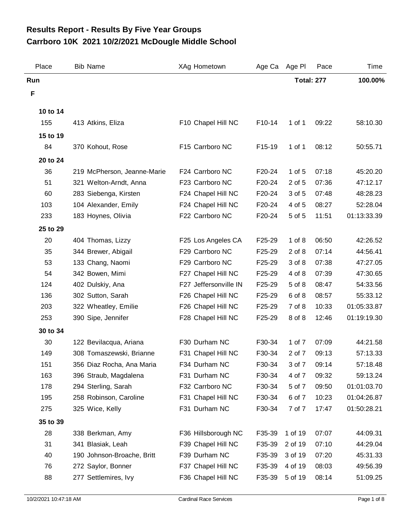## **Carrboro 10K 2021 10/2/2021 McDougle Middle School Results Report - Results By Five Year Groups**

| Place    | <b>Bib Name</b>             | XAg Hometown          | Age Ca | Age Pl            | Pace  | Time        |
|----------|-----------------------------|-----------------------|--------|-------------------|-------|-------------|
| Run      |                             |                       |        | <b>Total: 277</b> |       | 100.00%     |
| F        |                             |                       |        |                   |       |             |
| 10 to 14 |                             |                       |        |                   |       |             |
| 155      | 413 Atkins, Eliza           | F10 Chapel Hill NC    | F10-14 | 1 of 1            | 09:22 | 58:10.30    |
| 15 to 19 |                             |                       |        |                   |       |             |
| 84       | 370 Kohout, Rose            | F15 Carrboro NC       | F15-19 | 1 of 1            | 08:12 | 50:55.71    |
| 20 to 24 |                             |                       |        |                   |       |             |
| 36       | 219 McPherson, Jeanne-Marie | F24 Carrboro NC       | F20-24 | 1 of 5            | 07:18 | 45:20.20    |
| 51       | 321 Welton-Arndt, Anna      | F23 Carrboro NC       | F20-24 | 2 of 5            | 07:36 | 47:12.17    |
| 60       | 283 Siebenga, Kirsten       | F24 Chapel Hill NC    | F20-24 | 3 of 5            | 07:48 | 48:28.23    |
| 103      | 104 Alexander, Emily        | F24 Chapel Hill NC    | F20-24 | 4 of 5            | 08:27 | 52:28.04    |
| 233      | 183 Hoynes, Olivia          | F22 Carrboro NC       | F20-24 | 5 of 5            | 11:51 | 01:13:33.39 |
| 25 to 29 |                             |                       |        |                   |       |             |
| 20       | 404 Thomas, Lizzy           | F25 Los Angeles CA    | F25-29 | $1$ of $8$        | 06:50 | 42:26.52    |
| 35       | 344 Brewer, Abigail         | F29 Carrboro NC       | F25-29 | $2$ of $8$        | 07:14 | 44:56.41    |
| 53       | 133 Chang, Naomi            | F29 Carrboro NC       | F25-29 | 3 of 8            | 07:38 | 47:27.05    |
| 54       | 342 Bowen, Mimi             | F27 Chapel Hill NC    | F25-29 | 4 of 8            | 07:39 | 47:30.65    |
| 124      | 402 Dulskiy, Ana            | F27 Jeffersonville IN | F25-29 | 5 of 8            | 08:47 | 54:33.56    |
| 136      | 302 Sutton, Sarah           | F26 Chapel Hill NC    | F25-29 | 6 of 8            | 08:57 | 55:33.12    |
| 203      | 322 Wheatley, Emilie        | F26 Chapel Hill NC    | F25-29 | 7 of 8            | 10:33 | 01:05:33.87 |
| 253      | 390 Sipe, Jennifer          | F28 Chapel Hill NC    | F25-29 | 8 of 8            | 12:46 | 01:19:19.30 |
| 30 to 34 |                             |                       |        |                   |       |             |
| 30       | 122 Bevilacqua, Ariana      | F30 Durham NC         | F30-34 | 1 of 7            | 07:09 | 44:21.58    |
| 149      | 308 Tomaszewski, Brianne    | F31 Chapel Hill NC    | F30-34 | 2 of 7            | 09:13 | 57:13.33    |
| 151      | 356 Diaz Rocha, Ana Maria   | F34 Durham NC         | F30-34 | 3 of 7            | 09:14 | 57:18.48    |
| 163      | 396 Straub, Magdalena       | F31 Durham NC         | F30-34 | 4 of 7            | 09:32 | 59:13.24    |
| 178      | 294 Sterling, Sarah         | F32 Carrboro NC       | F30-34 | 5 of 7            | 09:50 | 01:01:03.70 |
| 195      | 258 Robinson, Caroline      | F31 Chapel Hill NC    | F30-34 | 6 of 7            | 10:23 | 01:04:26.87 |
| 275      | 325 Wice, Kelly             | F31 Durham NC         | F30-34 | 7 of 7            | 17:47 | 01:50:28.21 |
| 35 to 39 |                             |                       |        |                   |       |             |
| 28       | 338 Berkman, Amy            | F36 Hillsborough NC   | F35-39 | 1 of 19           | 07:07 | 44:09.31    |
| 31       | 341 Blasiak, Leah           | F39 Chapel Hill NC    | F35-39 | 2 of 19           | 07:10 | 44:29.04    |
| 40       | 190 Johnson-Broache, Britt  | F39 Durham NC         | F35-39 | 3 of 19           | 07:20 | 45:31.33    |
| 76       | 272 Saylor, Bonner          | F37 Chapel Hill NC    | F35-39 | 4 of 19           | 08:03 | 49:56.39    |
| 88       | 277 Settlemires, Ivy        | F36 Chapel Hill NC    | F35-39 | 5 of 19           | 08:14 | 51:09.25    |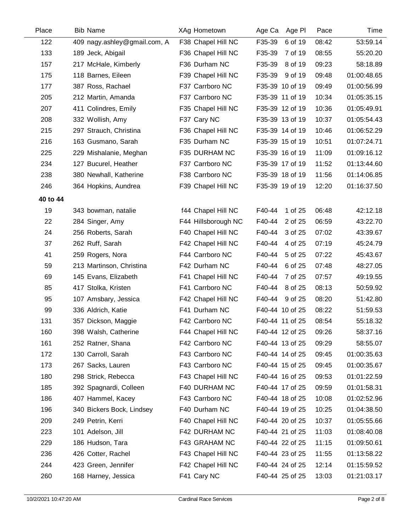| Place    | <b>Bib Name</b>              | XAg Hometown        | Age PI<br>Age Ca  | Pace  | Time        |
|----------|------------------------------|---------------------|-------------------|-------|-------------|
| 122      | 409 nagy.ashley@gmail.com, A | F38 Chapel Hill NC  | 6 of 19<br>F35-39 | 08:42 | 53:59.14    |
| 133      | 189 Jeck, Abigail            | F36 Chapel Hill NC  | F35-39<br>7 of 19 | 08:55 | 55:20.20    |
| 157      | 217 McHale, Kimberly         | F36 Durham NC       | F35-39<br>8 of 19 | 09:23 | 58:18.89    |
| 175      | 118 Barnes, Eileen           | F39 Chapel Hill NC  | F35-39<br>9 of 19 | 09:48 | 01:00:48.65 |
| 177      | 387 Ross, Rachael            | F37 Carrboro NC     | F35-39 10 of 19   | 09:49 | 01:00:56.99 |
| 205      | 212 Martin, Amanda           | F37 Carrboro NC     | F35-39 11 of 19   | 10:34 | 01:05:35.15 |
| 207      | 411 Colindres, Emily         | F35 Chapel Hill NC  | F35-39 12 of 19   | 10:36 | 01:05:49.91 |
| 208      | 332 Wollish, Amy             | F37 Cary NC         | F35-39 13 of 19   | 10:37 | 01:05:54.43 |
| 215      | 297 Strauch, Christina       | F36 Chapel Hill NC  | F35-39 14 of 19   | 10:46 | 01:06:52.29 |
| 216      | 163 Gusmano, Sarah           | F35 Durham NC       | F35-39 15 of 19   | 10:51 | 01:07:24.71 |
| 225      | 229 Mishalanie, Meghan       | F35 DURHAM NC       | F35-39 16 of 19   | 11:09 | 01:09:16.12 |
| 234      | 127 Bucurel, Heather         | F37 Carrboro NC     | F35-39 17 of 19   | 11:52 | 01:13:44.60 |
| 238      | 380 Newhall, Katherine       | F38 Carrboro NC     | F35-39 18 of 19   | 11:56 | 01:14:06.85 |
| 246      | 364 Hopkins, Aundrea         | F39 Chapel Hill NC  | F35-39 19 of 19   | 12:20 | 01:16:37.50 |
| 40 to 44 |                              |                     |                   |       |             |
| 19       | 343 bowman, natalie          | f44 Chapel Hill NC  | F40-44<br>1 of 25 | 06:48 | 42:12.18    |
| 22       | 284 Singer, Amy              | F44 Hillsborough NC | F40-44<br>2 of 25 | 06:59 | 43:22.70    |
| 24       | 256 Roberts, Sarah           | F40 Chapel Hill NC  | F40-44<br>3 of 25 | 07:02 | 43:39.67    |
| 37       | 262 Ruff, Sarah              | F42 Chapel Hill NC  | F40-44<br>4 of 25 | 07:19 | 45:24.79    |
| 41       | 259 Rogers, Nora             | F44 Carrboro NC     | F40-44<br>5 of 25 | 07:22 | 45:43.67    |
| 59       | 213 Martinson, Christina     | F42 Durham NC       | F40-44<br>6 of 25 | 07:48 | 48:27.05    |
| 69       | 145 Evans, Elizabeth         | F41 Chapel Hill NC  | F40-44<br>7 of 25 | 07:57 | 49:19.55    |
| 85       | 417 Stolka, Kristen          | F41 Carrboro NC     | F40-44<br>8 of 25 | 08:13 | 50:59.92    |
| 95       | 107 Amsbary, Jessica         | F42 Chapel Hill NC  | F40-44<br>9 of 25 | 08:20 | 51:42.80    |
| 99       | 336 Aldrich, Katie           | F41 Durham NC       | F40-44 10 of 25   | 08:22 | 51:59.53    |
| 131      | 357 Dickson, Maggie          | F42 Carrboro NC     | F40-44 11 of 25   | 08:54 | 55:18.32    |
| 160      | 398 Walsh, Catherine         | F44 Chapel Hill NC  | F40-44 12 of 25   | 09:26 | 58:37.16    |
| 161      | 252 Ratner, Shana            | F42 Carrboro NC     | F40-44 13 of 25   | 09:29 | 58:55.07    |
| 172      | 130 Carroll, Sarah           | F43 Carrboro NC     | F40-44 14 of 25   | 09:45 | 01:00:35.63 |
| 173      | 267 Sacks, Lauren            | F43 Carrboro NC     | F40-44 15 of 25   | 09:45 | 01:00:35.67 |
| 180      | 298 Strick, Rebecca          | F43 Chapel Hill NC  | F40-44 16 of 25   | 09:53 | 01:01:22.59 |
| 185      | 392 Spagnardi, Colleen       | F40 DURHAM NC       | F40-44 17 of 25   | 09:59 | 01:01:58.31 |
| 186      | 407 Hammel, Kacey            | F43 Carrboro NC     | F40-44 18 of 25   | 10:08 | 01:02:52.96 |
| 196      | 340 Bickers Bock, Lindsey    | F40 Durham NC       | F40-44 19 of 25   | 10:25 | 01:04:38.50 |
| 209      | 249 Petrin, Kerri            | F40 Chapel Hill NC  | F40-44 20 of 25   | 10:37 | 01:05:55.66 |
| 223      | 101 Adelson, Jill            | F42 DURHAM NC       | F40-44 21 of 25   | 11:03 | 01:08:40.08 |
| 229      | 186 Hudson, Tara             | F43 GRAHAM NC       | F40-44 22 of 25   | 11:15 | 01:09:50.61 |
| 236      | 426 Cotter, Rachel           | F43 Chapel Hill NC  | F40-44 23 of 25   | 11:55 | 01:13:58.22 |
| 244      | 423 Green, Jennifer          | F42 Chapel Hill NC  | F40-44 24 of 25   | 12:14 | 01:15:59.52 |
| 260      | 168 Harney, Jessica          | F41 Cary NC         | F40-44 25 of 25   | 13:03 | 01:21:03.17 |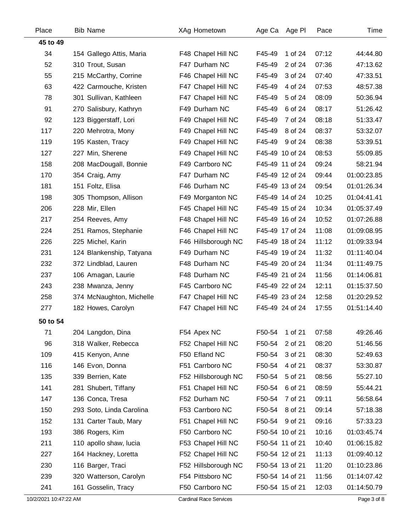| Place    | <b>Bib Name</b>          | XAg Hometown        | Age Ca<br>Age PI  | Pace  | Time        |
|----------|--------------------------|---------------------|-------------------|-------|-------------|
| 45 to 49 |                          |                     |                   |       |             |
| 34       | 154 Gallego Attis, Maria | F48 Chapel Hill NC  | F45-49<br>1 of 24 | 07:12 | 44:44.80    |
| 52       | 310 Trout, Susan         | F47 Durham NC       | F45-49<br>2 of 24 | 07:36 | 47:13.62    |
| 55       | 215 McCarthy, Corrine    | F46 Chapel Hill NC  | 3 of 24<br>F45-49 | 07:40 | 47:33.51    |
| 63       | 422 Carmouche, Kristen   | F47 Chapel Hill NC  | 4 of 24<br>F45-49 | 07:53 | 48:57.38    |
| 78       | 301 Sullivan, Kathleen   | F47 Chapel Hill NC  | F45-49<br>5 of 24 | 08:09 | 50:36.94    |
| 91       | 270 Salisbury, Kathryn   | F49 Durham NC       | 6 of 24<br>F45-49 | 08:17 | 51:26.42    |
| 92       | 123 Biggerstaff, Lori    | F49 Chapel Hill NC  | F45-49<br>7 of 24 | 08:18 | 51:33.47    |
| 117      | 220 Mehrotra, Mony       | F49 Chapel Hill NC  | F45-49<br>8 of 24 | 08:37 | 53:32.07    |
| 119      | 195 Kasten, Tracy        | F49 Chapel Hill NC  | F45-49<br>9 of 24 | 08:38 | 53:39.51    |
| 127      | 227 Min, Sherene         | F49 Chapel Hill NC  | F45-49 10 of 24   | 08:53 | 55:09.85    |
| 158      | 208 MacDougall, Bonnie   | F49 Carrboro NC     | F45-49 11 of 24   | 09:24 | 58:21.94    |
| 170      | 354 Craig, Amy           | F47 Durham NC       | F45-49 12 of 24   | 09:44 | 01:00:23.85 |
| 181      | 151 Foltz, Elisa         | F46 Durham NC       | F45-49 13 of 24   | 09:54 | 01:01:26.34 |
| 198      | 305 Thompson, Allison    | F49 Morganton NC    | F45-49 14 of 24   | 10:25 | 01:04:41.41 |
| 206      | 228 Mir, Ellen           | F45 Chapel Hill NC  | F45-49 15 of 24   | 10:34 | 01:05:37.49 |
| 217      | 254 Reeves, Amy          | F48 Chapel Hill NC  | F45-49 16 of 24   | 10:52 | 01:07:26.88 |
| 224      | 251 Ramos, Stephanie     | F46 Chapel Hill NC  | F45-49 17 of 24   | 11:08 | 01:09:08.95 |
| 226      | 225 Michel, Karin        | F46 Hillsborough NC | F45-49 18 of 24   | 11:12 | 01:09:33.94 |
| 231      | 124 Blankenship, Tatyana | F49 Durham NC       | F45-49 19 of 24   | 11:32 | 01:11:40.04 |
| 232      | 372 Lindblad, Lauren     | F48 Durham NC       | F45-49 20 of 24   | 11:34 | 01:11:49.75 |
| 237      | 106 Amagan, Laurie       | F48 Durham NC       | F45-49 21 of 24   | 11:56 | 01:14:06.81 |
| 243      | 238 Mwanza, Jenny        | F45 Carrboro NC     | F45-49 22 of 24   | 12:11 | 01:15:37.50 |
| 258      | 374 McNaughton, Michelle | F47 Chapel Hill NC  | F45-49 23 of 24   | 12:58 | 01:20:29.52 |
| 277      | 182 Howes, Carolyn       | F47 Chapel Hill NC  | F45-49 24 of 24   | 17:55 | 01:51:14.40 |
| 50 to 54 |                          |                     |                   |       |             |
| 71       | 204 Langdon, Dina        | F54 Apex NC         | F50-54<br>1 of 21 | 07:58 | 49:26.46    |
| 96       | 318 Walker, Rebecca      | F52 Chapel Hill NC  | F50-54<br>2 of 21 | 08:20 | 51:46.56    |
| 109      | 415 Kenyon, Anne         | F50 Efland NC       | F50-54<br>3 of 21 | 08:30 | 52:49.63    |
| 116      | 146 Evon, Donna          | F51 Carrboro NC     | F50-54<br>4 of 21 | 08:37 | 53:30.87    |
| 135      | 339 Berrien, Kate        | F52 Hillsborough NC | F50-54<br>5 of 21 | 08:56 | 55:27.10    |
| 141      | 281 Shubert, Tiffany     | F51 Chapel Hill NC  | F50-54<br>6 of 21 | 08:59 | 55:44.21    |
| 147      | 136 Conca, Tresa         | F52 Durham NC       | F50-54<br>7 of 21 | 09:11 | 56:58.64    |
| 150      | 293 Soto, Linda Carolina | F53 Carrboro NC     | F50-54<br>8 of 21 | 09:14 | 57:18.38    |
| 152      | 131 Carter Taub, Mary    | F51 Chapel Hill NC  | F50-54 9 of 21    | 09:16 | 57:33.23    |
| 193      | 386 Rogers, Kim          | F50 Carrboro NC     | F50-54 10 of 21   | 10:16 | 01:03:45.74 |
| 211      | 110 apollo shaw, lucia   | F53 Chapel Hill NC  | F50-54 11 of 21   | 10:40 | 01:06:15.82 |
| 227      | 164 Hackney, Loretta     | F52 Chapel Hill NC  | F50-54 12 of 21   | 11:13 | 01:09:40.12 |
| 230      | 116 Barger, Traci        | F52 Hillsborough NC | F50-54 13 of 21   | 11:20 | 01:10:23.86 |
| 239      | 320 Watterson, Carolyn   | F54 Pittsboro NC    | F50-54 14 of 21   | 11:56 | 01:14:07.42 |
| 241      | 161 Gosselin, Tracy      | F50 Carrboro NC     | F50-54 15 of 21   | 12:03 | 01:14:50.79 |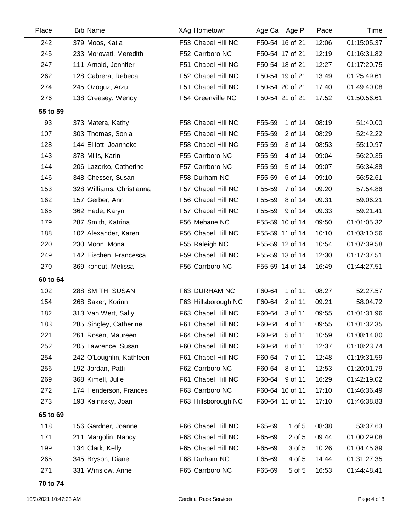| Place    | <b>Bib Name</b>           | XAg Hometown        | Age Ca Age PI      | Pace  | Time        |
|----------|---------------------------|---------------------|--------------------|-------|-------------|
| 242      | 379 Moos, Katja           | F53 Chapel Hill NC  | F50-54 16 of 21    | 12:06 | 01:15:05.37 |
| 245      | 233 Morovati, Meredith    | F52 Carrboro NC     | F50-54 17 of 21    | 12:19 | 01:16:31.82 |
| 247      | 111 Arnold, Jennifer      | F51 Chapel Hill NC  | F50-54 18 of 21    | 12:27 | 01:17:20.75 |
| 262      | 128 Cabrera, Rebeca       | F52 Chapel Hill NC  | F50-54 19 of 21    | 13:49 | 01:25:49.61 |
| 274      | 245 Ozoguz, Arzu          | F51 Chapel Hill NC  | F50-54 20 of 21    | 17:40 | 01:49:40.08 |
| 276      | 138 Creasey, Wendy        | F54 Greenville NC   | F50-54 21 of 21    | 17:52 | 01:50:56.61 |
| 55 to 59 |                           |                     |                    |       |             |
| 93       | 373 Matera, Kathy         | F58 Chapel Hill NC  | F55-59<br>1 of 14  | 08:19 | 51:40.00    |
| 107      | 303 Thomas, Sonia         | F55 Chapel Hill NC  | F55-59<br>2 of 14  | 08:29 | 52:42.22    |
| 128      | 144 Elliott, Joanneke     | F58 Chapel Hill NC  | F55-59<br>3 of 14  | 08:53 | 55:10.97    |
| 143      | 378 Mills, Karin          | F55 Carrboro NC     | F55-59<br>4 of 14  | 09:04 | 56:20.35    |
| 144      | 206 Lazorko, Catherine    | F57 Carrboro NC     | 5 of 14<br>F55-59  | 09:07 | 56:34.88    |
| 146      | 348 Chesser, Susan        | F58 Durham NC       | F55-59<br>6 of 14  | 09:10 | 56:52.61    |
| 153      | 328 Williams, Christianna | F57 Chapel Hill NC  | F55-59<br>7 of 14  | 09:20 | 57:54.86    |
| 162      | 157 Gerber, Ann           | F56 Chapel Hill NC  | F55-59<br>8 of 14  | 09:31 | 59:06.21    |
| 165      | 362 Hede, Karyn           | F57 Chapel Hill NC  | F55-59<br>9 of 14  | 09:33 | 59:21.41    |
| 179      | 287 Smith, Katrina        | F56 Mebane NC       | F55-59 10 of 14    | 09:50 | 01:01:05.32 |
| 188      | 102 Alexander, Karen      | F56 Chapel Hill NC  | F55-59 11 of 14    | 10:10 | 01:03:10.56 |
| 220      | 230 Moon, Mona            | F55 Raleigh NC      | F55-59 12 of 14    | 10:54 | 01:07:39.58 |
| 249      | 142 Eischen, Francesca    | F59 Chapel Hill NC  | F55-59 13 of 14    | 12:30 | 01:17:37.51 |
| 270      | 369 kohout, Melissa       | F56 Carrboro NC     | F55-59 14 of 14    | 16:49 | 01:44:27.51 |
| 60 to 64 |                           |                     |                    |       |             |
| 102      | 288 SMITH, SUSAN          | F63 DURHAM NC       | F60-64<br>1 of 11  | 08:27 | 52:27.57    |
| 154      | 268 Saker, Korinn         | F63 Hillsborough NC | F60-64<br>2 of 11  | 09:21 | 58:04.72    |
| 182      | 313 Van Wert, Sally       | F63 Chapel Hill NC  | F60-64<br>3 of 11  | 09:55 | 01:01:31.96 |
| 183      | 285 Singley, Catherine    | F61 Chapel Hill NC  | F60-64<br>4 of 11  | 09:55 | 01:01:32.35 |
| 221      | 261 Rosen, Maureen        | F64 Chapel Hill NC  | 5 of 11<br>F60-64  | 10:59 | 01:08:14.80 |
| 252      | 205 Lawrence, Susan       | F60 Chapel Hill NC  | F60-64<br>6 of 11  | 12:37 | 01:18:23.74 |
| 254      | 242 O'Loughlin, Kathleen  | F61 Chapel Hill NC  | F60-64<br>7 of 11  | 12:48 | 01:19:31.59 |
| 256      | 192 Jordan, Patti         | F62 Carrboro NC     | F60-64<br>8 of 11  | 12:53 | 01:20:01.79 |
| 269      | 368 Kimell, Julie         | F61 Chapel Hill NC  | F60-64 9 of 11     | 16:29 | 01:42:19.02 |
| 272      | 174 Henderson, Frances    | F63 Carrboro NC     | F60-64 10 of 11    | 17:10 | 01:46:36.49 |
| 273      | 193 Kalnitsky, Joan       | F63 Hillsborough NC | F60-64 11 of 11    | 17:10 | 01:46:38.83 |
| 65 to 69 |                           |                     |                    |       |             |
| 118      | 156 Gardner, Joanne       | F66 Chapel Hill NC  | 1 of $5$<br>F65-69 | 08:38 | 53:37.63    |
| 171      | 211 Margolin, Nancy       | F68 Chapel Hill NC  | F65-69<br>2 of 5   | 09:44 | 01:00:29.08 |
| 199      | 134 Clark, Kelly          | F65 Chapel Hill NC  | F65-69<br>3 of 5   | 10:26 | 01:04:45.89 |
| 265      | 345 Bryson, Diane         | F68 Durham NC       | F65-69<br>4 of 5   | 14:44 | 01:31:27.35 |
| 271      | 331 Winslow, Anne         | F65 Carrboro NC     | 5 of 5<br>F65-69   | 16:53 | 01:44:48.41 |
|          |                           |                     |                    |       |             |

**70 to 74**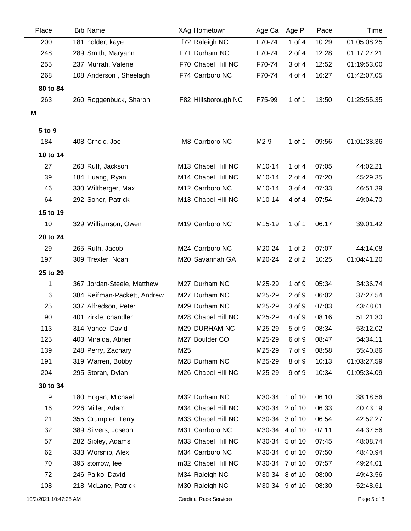| Place    | <b>Bib Name</b>             |     | XAg Hometown        | Age Ca         | Age PI     | Pace  | Time        |
|----------|-----------------------------|-----|---------------------|----------------|------------|-------|-------------|
| 200      | 181 holder, kaye            |     | f72 Raleigh NC      | F70-74         | 1 of $4$   | 10:29 | 01:05:08.25 |
| 248      | 289 Smith, Maryann          |     | F71 Durham NC       | F70-74         | 2 of 4     | 12:28 | 01:17:27.21 |
| 255      | 237 Murrah, Valerie         |     | F70 Chapel Hill NC  | F70-74         | 3 of 4     | 12:52 | 01:19:53.00 |
| 268      | 108 Anderson, Sheelagh      |     | F74 Carrboro NC     | F70-74         | 4 of 4     | 16:27 | 01:42:07.05 |
| 80 to 84 |                             |     |                     |                |            |       |             |
| 263      | 260 Roggenbuck, Sharon      |     | F82 Hillsborough NC | F75-99         | 1 of 1     | 13:50 | 01:25:55.35 |
| M        |                             |     |                     |                |            |       |             |
|          |                             |     |                     |                |            |       |             |
| 5 to 9   |                             |     |                     |                |            |       |             |
| 184      | 408 Crncic, Joe             |     | M8 Carrboro NC      | $M2-9$         | 1 of 1     | 09:56 | 01:01:38.36 |
| 10 to 14 |                             |     |                     |                |            |       |             |
| 27       | 263 Ruff, Jackson           |     | M13 Chapel Hill NC  | M10-14         | 1 of $4$   | 07:05 | 44:02.21    |
| 39       | 184 Huang, Ryan             |     | M14 Chapel Hill NC  | M10-14         | $2$ of $4$ | 07:20 | 45:29.35    |
| 46       | 330 Wiltberger, Max         |     | M12 Carrboro NC     | M10-14         | 3 of 4     | 07:33 | 46:51.39    |
| 64       | 292 Soher, Patrick          |     | M13 Chapel Hill NC  | M10-14         | 4 of 4     | 07:54 | 49:04.70    |
| 15 to 19 |                             |     |                     |                |            |       |             |
| 10       | 329 Williamson, Owen        |     | M19 Carrboro NC     | M15-19         | 1 of 1     | 06:17 | 39:01.42    |
| 20 to 24 |                             |     |                     |                |            |       |             |
| 29       | 265 Ruth, Jacob             |     | M24 Carrboro NC     | M20-24         | 1 of $2$   | 07:07 | 44:14.08    |
| 197      | 309 Trexler, Noah           |     | M20 Savannah GA     | M20-24         | 2 of 2     | 10:25 | 01:04:41.20 |
| 25 to 29 |                             |     |                     |                |            |       |             |
| 1        | 367 Jordan-Steele, Matthew  |     | M27 Durham NC       | M25-29         | 1 of 9     | 05:34 | 34:36.74    |
| 6        | 384 Reifman-Packett, Andrew |     | M27 Durham NC       | M25-29         | 2 of 9     | 06:02 | 37:27.54    |
| 25       | 337 Alfredson, Peter        |     | M29 Durham NC       | M25-29         | 3 of 9     | 07:03 | 43:48.01    |
| 90       | 401 zirkle, chandler        |     | M28 Chapel Hill NC  | M25-29         | 4 of 9     | 08:16 | 51:21.30    |
| 113      | 314 Vance, David            |     | M29 DURHAM NC       | M25-29         | 5 of 9     | 08:34 | 53:12.02    |
| 125      | 403 Miralda, Abner          |     | M27 Boulder CO      | M25-29         | 6 of 9     | 08:47 | 54:34.11    |
| 139      | 248 Perry, Zachary          | M25 |                     | M25-29         | 7 of 9     | 08:58 | 55:40.86    |
| 191      | 319 Warren, Bobby           |     | M28 Durham NC       | M25-29         | 8 of 9     | 10:13 | 01:03:27.59 |
| 204      | 295 Storan, Dylan           |     | M26 Chapel Hill NC  | M25-29         | 9 of 9     | 10:34 | 01:05:34.09 |
| 30 to 34 |                             |     |                     |                |            |       |             |
| 9        | 180 Hogan, Michael          |     | M32 Durham NC       | M30-34 1 of 10 |            | 06:10 | 38:18.56    |
| 16       | 226 Miller, Adam            |     | M34 Chapel Hill NC  | M30-34 2 of 10 |            | 06:33 | 40:43.19    |
| 21       | 355 Crumpler, Terry         |     | M33 Chapel Hill NC  | M30-34 3 of 10 |            | 06:54 | 42:52.27    |
| 32       | 389 Silvers, Joseph         |     | M31 Carrboro NC     | M30-34 4 of 10 |            | 07:11 | 44:37.56    |
| 57       | 282 Sibley, Adams           |     | M33 Chapel Hill NC  | M30-34 5 of 10 |            | 07:45 | 48:08.74    |
| 62       | 333 Worsnip, Alex           |     | M34 Carrboro NC     | M30-34 6 of 10 |            | 07:50 | 48:40.94    |
| 70       | 395 storrow, lee            |     | m32 Chapel Hill NC  | M30-34 7 of 10 |            | 07:57 | 49:24.01    |
| 72       | 246 Palko, David            |     | M34 Raleigh NC      | M30-34 8 of 10 |            | 08:00 | 49:43.56    |
| 108      | 218 McLane, Patrick         |     | M30 Raleigh NC      | M30-34 9 of 10 |            | 08:30 | 52:48.61    |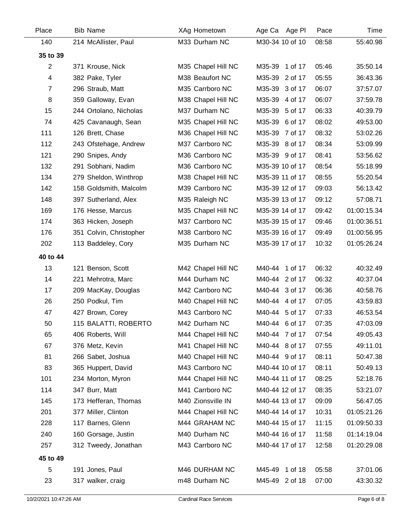| Place          | <b>Bib Name</b>         | XAg Hometown       | Age Ca Age PI     | Pace  | Time        |
|----------------|-------------------------|--------------------|-------------------|-------|-------------|
| 140            | 214 McAllister, Paul    | M33 Durham NC      | M30-34 10 of 10   | 08:58 | 55:40.98    |
| 35 to 39       |                         |                    |                   |       |             |
| $\overline{2}$ | 371 Krouse, Nick        | M35 Chapel Hill NC | M35-39<br>1 of 17 | 05:46 | 35:50.14    |
| 4              | 382 Pake, Tyler         | M38 Beaufort NC    | M35-39 2 of 17    | 05:55 | 36:43.36    |
| $\overline{7}$ | 296 Straub, Matt        | M35 Carrboro NC    | M35-39 3 of 17    | 06:07 | 37:57.07    |
| 8              | 359 Galloway, Evan      | M38 Chapel Hill NC | M35-39<br>4 of 17 | 06:07 | 37:59.78    |
| 15             | 244 Ortolano, Nicholas  | M37 Durham NC      | M35-39 5 of 17    | 06:33 | 40:39.79    |
| 74             | 425 Cavanaugh, Sean     | M35 Chapel Hill NC | M35-39 6 of 17    | 08:02 | 49:53.00    |
| 111            | 126 Brett, Chase        | M36 Chapel Hill NC | M35-39 7 of 17    | 08:32 | 53:02.26    |
| 112            | 243 Ofstehage, Andrew   | M37 Carrboro NC    | M35-39 8 of 17    | 08:34 | 53:09.99    |
| 121            | 290 Snipes, Andy        | M36 Carrboro NC    | M35-39 9 of 17    | 08:41 | 53:56.62    |
| 132            | 291 Sobhani, Nadim      | M36 Carrboro NC    | M35-39 10 of 17   | 08:54 | 55:18.99    |
| 134            | 279 Sheldon, Winthrop   | M38 Chapel Hill NC | M35-39 11 of 17   | 08:55 | 55:20.54    |
| 142            | 158 Goldsmith, Malcolm  | M39 Carrboro NC    | M35-39 12 of 17   | 09:03 | 56:13.42    |
| 148            | 397 Sutherland, Alex    | M35 Raleigh NC     | M35-39 13 of 17   | 09:12 | 57:08.71    |
| 169            | 176 Hesse, Marcus       | M35 Chapel Hill NC | M35-39 14 of 17   | 09:42 | 01:00:15.34 |
| 174            | 363 Hicken, Joseph      | M37 Carrboro NC    | M35-39 15 of 17   | 09:46 | 01:00:36.51 |
| 176            | 351 Colvin, Christopher | M38 Carrboro NC    | M35-39 16 of 17   | 09:49 | 01:00:56.95 |
| 202            | 113 Baddeley, Cory      | M35 Durham NC      | M35-39 17 of 17   | 10:32 | 01:05:26.24 |
| 40 to 44       |                         |                    |                   |       |             |
| 13             | 121 Benson, Scott       | M42 Chapel Hill NC | M40-44<br>1 of 17 | 06:32 | 40:32.49    |
| 14             | 221 Mehrotra, Marc      | M44 Durham NC      | M40-44 2 of 17    | 06:32 | 40:37.04    |
| 17             | 209 MacKay, Douglas     | M42 Carrboro NC    | M40-44 3 of 17    | 06:36 | 40:58.76    |
| 26             | 250 Podkul, Tim         | M40 Chapel Hill NC | M40-44 4 of 17    | 07:05 | 43:59.83    |
| 47             | 427 Brown, Corey        | M43 Carrboro NC    | M40-44 5 of 17    | 07:33 | 46:53.54    |
| 50             | 115 BALATTI, ROBERTO    | M42 Durham NC      | M40-44 6 of 17    | 07:35 | 47:03.09    |
| 65             | 406 Roberts, Will       | M44 Chapel Hill NC | M40-44 7 of 17    | 07:54 | 49:05.43    |
| 67             | 376 Metz, Kevin         | M41 Chapel Hill NC | M40-44 8 of 17    | 07:55 | 49:11.01    |
| 81             | 266 Sabet, Joshua       | M40 Chapel Hill NC | M40-44 9 of 17    | 08:11 | 50:47.38    |
| 83             | 365 Huppert, David      | M43 Carrboro NC    | M40-44 10 of 17   | 08:11 | 50:49.13    |
| 101            | 234 Morton, Myron       | M44 Chapel Hill NC | M40-44 11 of 17   | 08:25 | 52:18.76    |
| 114            | 347 Burr, Matt          | M41 Carrboro NC    | M40-44 12 of 17   | 08:35 | 53:21.07    |
| 145            | 173 Hefferan, Thomas    | M40 Zionsville IN  | M40-44 13 of 17   | 09:09 | 56:47.05    |
| 201            | 377 Miller, Clinton     | M44 Chapel Hill NC | M40-44 14 of 17   | 10:31 | 01:05:21.26 |
| 228            | 117 Barnes, Glenn       | M44 GRAHAM NC      | M40-44 15 of 17   | 11:15 | 01:09:50.33 |
| 240            | 160 Gorsage, Justin     | M40 Durham NC      | M40-44 16 of 17   | 11:58 | 01:14:19.04 |
| 257            | 312 Tweedy, Jonathan    | M43 Carrboro NC    | M40-44 17 of 17   | 12:58 | 01:20:29.08 |
| 45 to 49       |                         |                    |                   |       |             |
| 5              | 191 Jones, Paul         | M46 DURHAM NC      | 1 of 18<br>M45-49 | 05:58 | 37:01.06    |
| 23             | 317 walker, craig       | m48 Durham NC      | M45-49 2 of 18    | 07:00 | 43:30.32    |
|                |                         |                    |                   |       |             |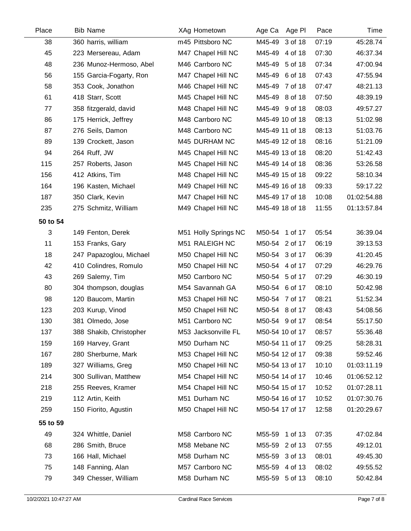| Place    | <b>Bib Name</b>         | XAg Hometown         | Age Ca<br>Age Pl  | Pace  | Time        |
|----------|-------------------------|----------------------|-------------------|-------|-------------|
| 38       | 360 harris, william     | m45 Pittsboro NC     | M45-49<br>3 of 18 | 07:19 | 45:28.74    |
| 45       | 223 Mersereau, Adam     | M47 Chapel Hill NC   | M45-49 4 of 18    | 07:30 | 46:37.34    |
| 48       | 236 Munoz-Hermoso, Abel | M46 Carrboro NC      | M45-49 5 of 18    | 07:34 | 47:00.94    |
| 56       | 155 Garcia-Fogarty, Ron | M47 Chapel Hill NC   | M45-49 6 of 18    | 07:43 | 47:55.94    |
| 58       | 353 Cook, Jonathon      | M46 Chapel Hill NC   | M45-49 7 of 18    | 07:47 | 48:21.13    |
| 61       | 418 Starr, Scott        | M45 Chapel Hill NC   | M45-49 8 of 18    | 07:50 | 48:39.19    |
| 77       | 358 fitzgerald, david   | M48 Chapel Hill NC   | M45-49 9 of 18    | 08:03 | 49:57.27    |
| 86       | 175 Herrick, Jeffrey    | M48 Carrboro NC      | M45-49 10 of 18   | 08:13 | 51:02.98    |
| 87       | 276 Seils, Damon        | M48 Carrboro NC      | M45-49 11 of 18   | 08:13 | 51:03.76    |
| 89       | 139 Crockett, Jason     | M45 DURHAM NC        | M45-49 12 of 18   | 08:16 | 51:21.09    |
| 94       | 264 Ruff, JW            | M45 Chapel Hill NC   | M45-49 13 of 18   | 08:20 | 51:42.43    |
| 115      | 257 Roberts, Jason      | M45 Chapel Hill NC   | M45-49 14 of 18   | 08:36 | 53:26.58    |
| 156      | 412 Atkins, Tim         | M48 Chapel Hill NC   | M45-49 15 of 18   | 09:22 | 58:10.34    |
| 164      | 196 Kasten, Michael     | M49 Chapel Hill NC   | M45-49 16 of 18   | 09:33 | 59:17.22    |
| 187      | 350 Clark, Kevin        | M47 Chapel Hill NC   | M45-49 17 of 18   | 10:08 | 01:02:54.88 |
| 235      | 275 Schmitz, William    | M49 Chapel Hill NC   | M45-49 18 of 18   | 11:55 | 01:13:57.84 |
| 50 to 54 |                         |                      |                   |       |             |
| 3        | 149 Fenton, Derek       | M51 Holly Springs NC | M50-54 1 of 17    | 05:54 | 36:39.04    |
| 11       | 153 Franks, Gary        | M51 RALEIGH NC       | M50-54 2 of 17    | 06:19 | 39:13.53    |
| 18       | 247 Papazoglou, Michael | M50 Chapel Hill NC   | M50-54 3 of 17    | 06:39 | 41:20.45    |
| 42       | 410 Colindres, Romulo   | M50 Chapel Hill NC   | M50-54 4 of 17    | 07:29 | 46:29.76    |
| 43       | 269 Salemy, Tim         | M50 Carrboro NC      | M50-54 5 of 17    | 07:29 | 46:30.19    |
| 80       | 304 thompson, douglas   | M54 Savannah GA      | M50-54 6 of 17    | 08:10 | 50:42.98    |
| 98       | 120 Baucom, Martin      | M53 Chapel Hill NC   | M50-54 7 of 17    | 08:21 | 51:52.34    |
| 123      | 203 Kurup, Vinod        | M50 Chapel Hill NC   | M50-54 8 of 17    | 08:43 | 54:08.56    |
| 130      | 381 Olmedo, Jose        | M51 Carrboro NC      | M50-54 9 of 17    | 08:54 | 55:17.50    |
| 137      | 388 Shakib, Christopher | M53 Jacksonville FL  | M50-54 10 of 17   | 08:57 | 55:36.48    |
| 159      | 169 Harvey, Grant       | M50 Durham NC        | M50-54 11 of 17   | 09:25 | 58:28.31    |
| 167      | 280 Sherburne, Mark     | M53 Chapel Hill NC   | M50-54 12 of 17   | 09:38 | 59:52.46    |
| 189      | 327 Williams, Greg      | M50 Chapel Hill NC   | M50-54 13 of 17   | 10:10 | 01:03:11.19 |
| 214      | 300 Sullivan, Matthew   | M54 Chapel Hill NC   | M50-54 14 of 17   | 10:46 | 01:06:52.12 |
| 218      | 255 Reeves, Kramer      | M54 Chapel Hill NC   | M50-54 15 of 17   | 10:52 | 01:07:28.11 |
| 219      | 112 Artin, Keith        | M51 Durham NC        | M50-54 16 of 17   | 10:52 | 01:07:30.76 |
| 259      | 150 Fiorito, Agustin    | M50 Chapel Hill NC   | M50-54 17 of 17   | 12:58 | 01:20:29.67 |
| 55 to 59 |                         |                      |                   |       |             |
| 49       | 324 Whittle, Daniel     | M58 Carrboro NC      | M55-59<br>1 of 13 | 07:35 | 47:02.84    |
| 68       | 286 Smith, Bruce        | M58 Mebane NC        | M55-59 2 of 13    | 07:55 | 49:12.01    |
| 73       | 166 Hall, Michael       | M58 Durham NC        | M55-59 3 of 13    | 08:01 | 49:45.30    |
| 75       | 148 Fanning, Alan       | M57 Carrboro NC      | M55-59<br>4 of 13 | 08:02 | 49:55.52    |
| 79       | 349 Chesser, William    | M58 Durham NC        | M55-59 5 of 13    | 08:10 | 50:42.84    |